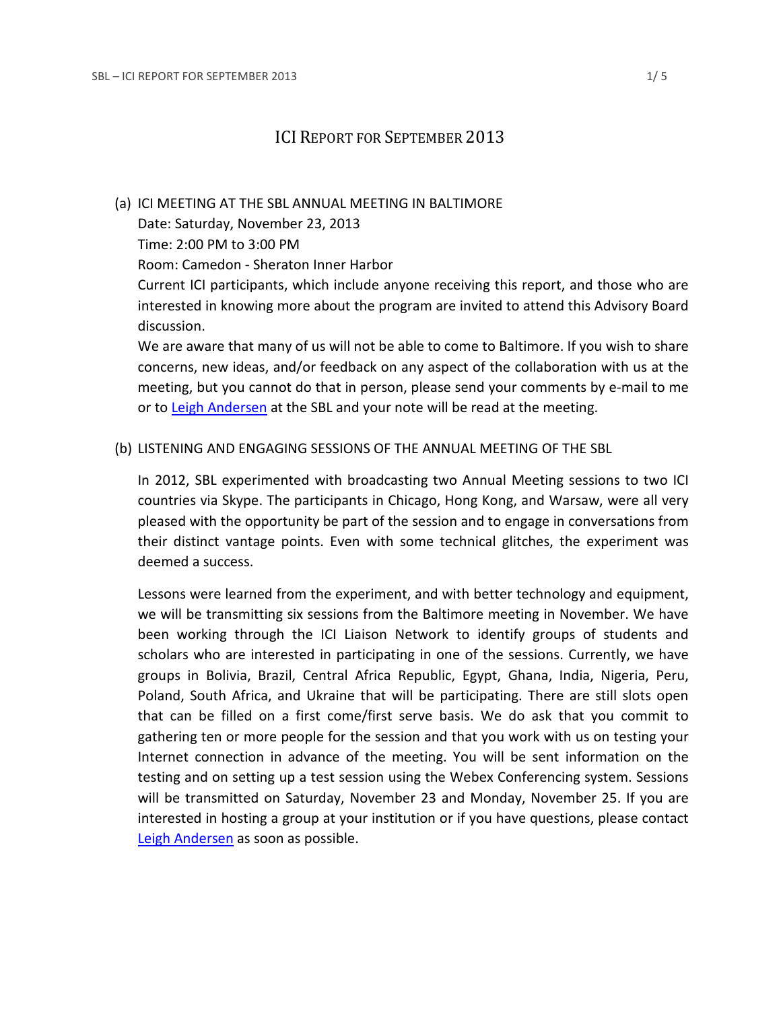# ICI REPORT FOR SEPTEMBER 2013

#### (a) ICI MEETING AT THE SBL ANNUAL MEETING IN BALTIMORE

Date: Saturday, November 23, 2013

Time: 2:00 PM to 3:00 PM

Room: Camedon - Sheraton Inner Harbor

Current ICI participants, which include anyone receiving this report, and those who are interested in knowing more about the program are invited to attend this Advisory Board discussion.

We are aware that many of us will not be able to come to Baltimore. If you wish to share concerns, new ideas, and/or feedback on any aspect of the collaboration with us at the meeting, but you cannot do that in person, please send your comments by e-mail to me or to [Leigh Andersen](mailto:leigh.andersen@sbl-site.org) at the SBL and your note will be read at the meeting.

### (b) LISTENING AND ENGAGING SESSIONS OF THE ANNUAL MEETING OF THE SBL

In 2012, SBL experimented with broadcasting two Annual Meeting sessions to two ICI countries via Skype. The participants in Chicago, Hong Kong, and Warsaw, were all very pleased with the opportunity be part of the session and to engage in conversations from their distinct vantage points. Even with some technical glitches, the experiment was deemed a success.

Lessons were learned from the experiment, and with better technology and equipment, we will be transmitting six sessions from the Baltimore meeting in November. We have been working through the ICI Liaison Network to identify groups of students and scholars who are interested in participating in one of the sessions. Currently, we have groups in Bolivia, Brazil, Central Africa Republic, Egypt, Ghana, India, Nigeria, Peru, Poland, South Africa, and Ukraine that will be participating. There are still slots open that can be filled on a first come/first serve basis. We do ask that you commit to gathering ten or more people for the session and that you work with us on testing your Internet connection in advance of the meeting. You will be sent information on the testing and on setting up a test session using the Webex Conferencing system. Sessions will be transmitted on Saturday, November 23 and Monday, November 25. If you are interested in hosting a group at your institution or if you have questions, please contact [Leigh Andersen](mailto:leigh.andersen@sbl-site.org) as soon as possible.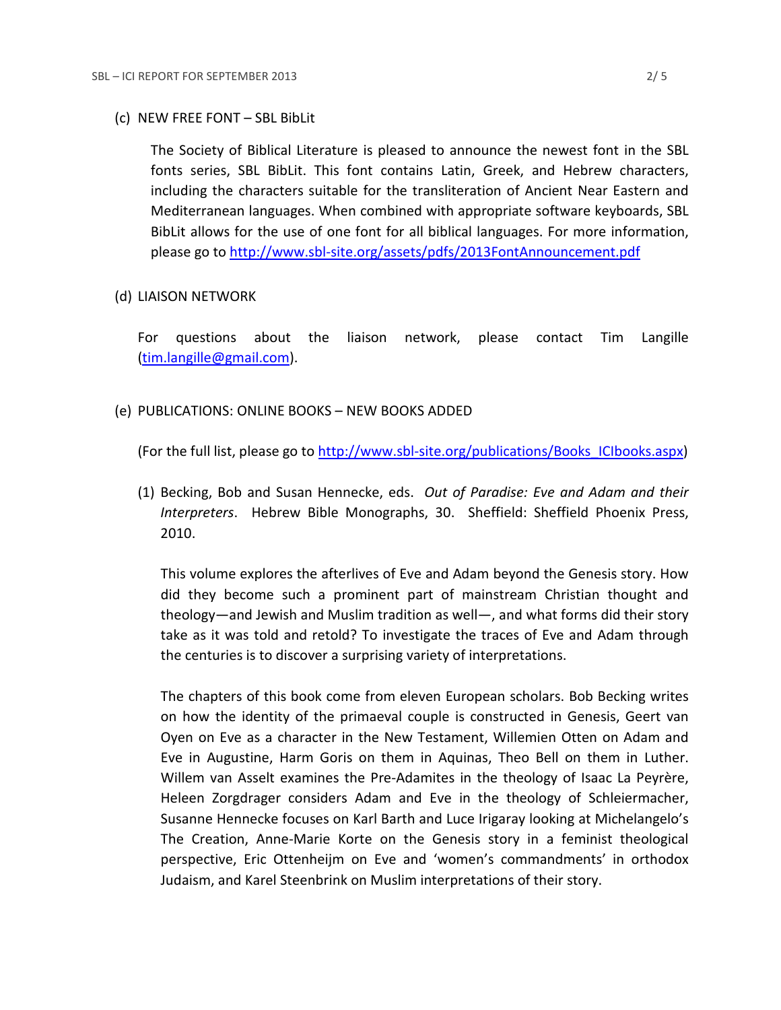#### (c) NEW FREE FONT – SBL BibLit

The Society of Biblical Literature is pleased to announce the newest font in the SBL fonts series, SBL BibLit. This font contains Latin, Greek, and Hebrew characters, including the characters suitable for the transliteration of Ancient Near Eastern and Mediterranean languages. When combined with appropriate software keyboards, SBL BibLit allows for the use of one font for all biblical languages. For more information, please go to<http://www.sbl-site.org/assets/pdfs/2013FontAnnouncement.pdf>

#### (d) LIAISON NETWORK

For questions about the liaison network, please contact Tim Langille [\(tim.langille@gmail.com\)](mailto:tim.langille@gmail.com).

#### (e) PUBLICATIONS: ONLINE BOOKS – NEW BOOKS ADDED

(For the full list, please go to [http://www.sbl-site.org/publications/Books\\_ICIbooks.aspx\)](http://www.sbl-site.org/publications/Books_ICIbooks.aspx)

(1) Becking, Bob and Susan Hennecke, eds. *Out of Paradise: Eve and Adam and their Interpreters*. Hebrew Bible Monographs, 30. Sheffield: Sheffield Phoenix Press, 2010.

This volume explores the afterlives of Eve and Adam beyond the Genesis story. How did they become such a prominent part of mainstream Christian thought and theology—and Jewish and Muslim tradition as well—, and what forms did their story take as it was told and retold? To investigate the traces of Eve and Adam through the centuries is to discover a surprising variety of interpretations.

The chapters of this book come from eleven European scholars. Bob Becking writes on how the identity of the primaeval couple is constructed in Genesis, Geert van Oyen on Eve as a character in the New Testament, Willemien Otten on Adam and Eve in Augustine, Harm Goris on them in Aquinas, Theo Bell on them in Luther. Willem van Asselt examines the Pre-Adamites in the theology of Isaac La Peyrère, Heleen Zorgdrager considers Adam and Eve in the theology of Schleiermacher, Susanne Hennecke focuses on Karl Barth and Luce Irigaray looking at Michelangelo's The Creation, Anne-Marie Korte on the Genesis story in a feminist theological perspective, Eric Ottenheijm on Eve and 'women's commandments' in orthodox Judaism, and Karel Steenbrink on Muslim interpretations of their story.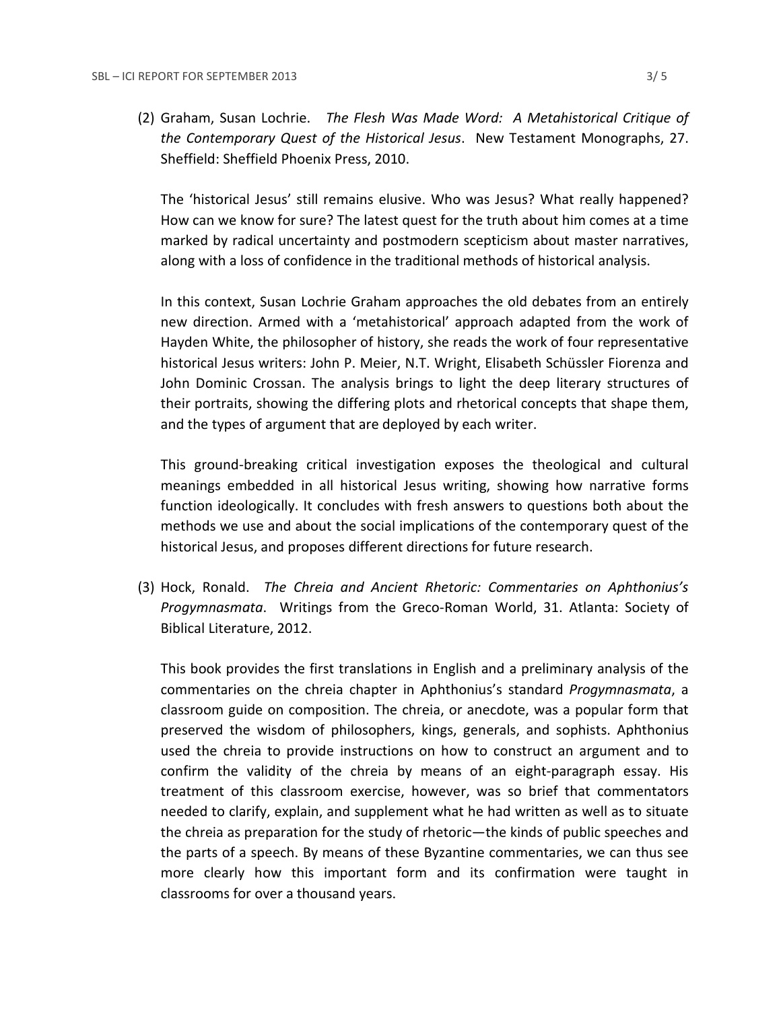(2) Graham, Susan Lochrie. *The Flesh Was Made Word: A Metahistorical Critique of the Contemporary Quest of the Historical Jesus*. New Testament Monographs, 27. Sheffield: Sheffield Phoenix Press, 2010.

The 'historical Jesus' still remains elusive. Who was Jesus? What really happened? How can we know for sure? The latest quest for the truth about him comes at a time marked by radical uncertainty and postmodern scepticism about master narratives, along with a loss of confidence in the traditional methods of historical analysis.

In this context, Susan Lochrie Graham approaches the old debates from an entirely new direction. Armed with a 'metahistorical' approach adapted from the work of Hayden White, the philosopher of history, she reads the work of four representative historical Jesus writers: John P. Meier, N.T. Wright, Elisabeth Schüssler Fiorenza and John Dominic Crossan. The analysis brings to light the deep literary structures of their portraits, showing the differing plots and rhetorical concepts that shape them, and the types of argument that are deployed by each writer.

This ground-breaking critical investigation exposes the theological and cultural meanings embedded in all historical Jesus writing, showing how narrative forms function ideologically. It concludes with fresh answers to questions both about the methods we use and about the social implications of the contemporary quest of the historical Jesus, and proposes different directions for future research.

(3) Hock, Ronald. *The Chreia and Ancient Rhetoric: Commentaries on Aphthonius's Progymnasmata*. Writings from the Greco-Roman World, 31. Atlanta: Society of Biblical Literature, 2012.

This book provides the first translations in English and a preliminary analysis of the commentaries on the chreia chapter in Aphthonius's standard *Progymnasmata*, a classroom guide on composition. The chreia, or anecdote, was a popular form that preserved the wisdom of philosophers, kings, generals, and sophists. Aphthonius used the chreia to provide instructions on how to construct an argument and to confirm the validity of the chreia by means of an eight-paragraph essay. His treatment of this classroom exercise, however, was so brief that commentators needed to clarify, explain, and supplement what he had written as well as to situate the chreia as preparation for the study of rhetoric—the kinds of public speeches and the parts of a speech. By means of these Byzantine commentaries, we can thus see more clearly how this important form and its confirmation were taught in classrooms for over a thousand years.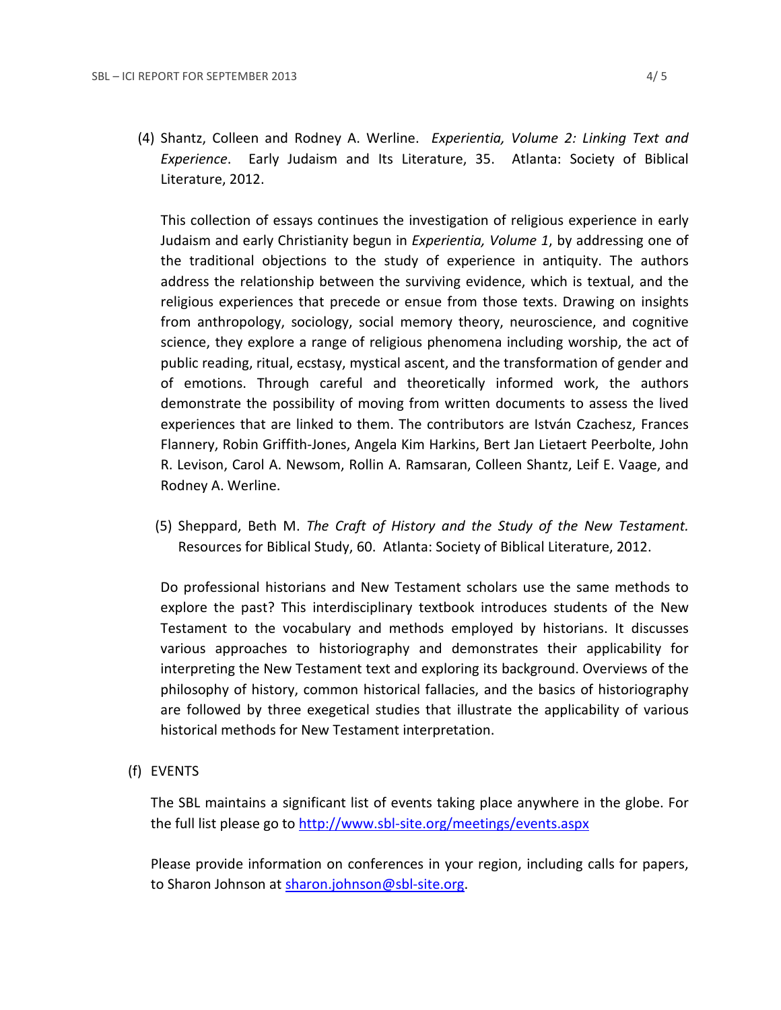(4) Shantz, Colleen and Rodney A. Werline. *Experientia, Volume 2: Linking Text and Experience*. Early Judaism and Its Literature, 35. Atlanta: Society of Biblical Literature, 2012.

This collection of essays continues the investigation of religious experience in early Judaism and early Christianity begun in *Experientia, Volume 1*, by addressing one of the traditional objections to the study of experience in antiquity. The authors address the relationship between the surviving evidence, which is textual, and the religious experiences that precede or ensue from those texts. Drawing on insights from anthropology, sociology, social memory theory, neuroscience, and cognitive science, they explore a range of religious phenomena including worship, the act of public reading, ritual, ecstasy, mystical ascent, and the transformation of gender and of emotions. Through careful and theoretically informed work, the authors demonstrate the possibility of moving from written documents to assess the lived experiences that are linked to them. The contributors are István Czachesz, Frances Flannery, Robin Griffith-Jones, Angela Kim Harkins, Bert Jan Lietaert Peerbolte, John R. Levison, Carol A. Newsom, Rollin A. Ramsaran, Colleen Shantz, Leif E. Vaage, and Rodney A. Werline.

(5) Sheppard, Beth M. *The Craft of History and the Study of the New Testament.* Resources for Biblical Study, 60. Atlanta: Society of Biblical Literature, 2012.

Do professional historians and New Testament scholars use the same methods to explore the past? This interdisciplinary textbook introduces students of the New Testament to the vocabulary and methods employed by historians. It discusses various approaches to historiography and demonstrates their applicability for interpreting the New Testament text and exploring its background. Overviews of the philosophy of history, common historical fallacies, and the basics of historiography are followed by three exegetical studies that illustrate the applicability of various historical methods for New Testament interpretation.

(f) EVENTS

The SBL maintains a significant list of events taking place anywhere in the globe. For the full list please go to<http://www.sbl-site.org/meetings/events.aspx>

Please provide information on conferences in your region, including calls for papers, to Sharon Johnson at [sharon.johnson@sbl-site.org.](mailto:sharon.johnson@sbl-site.org)